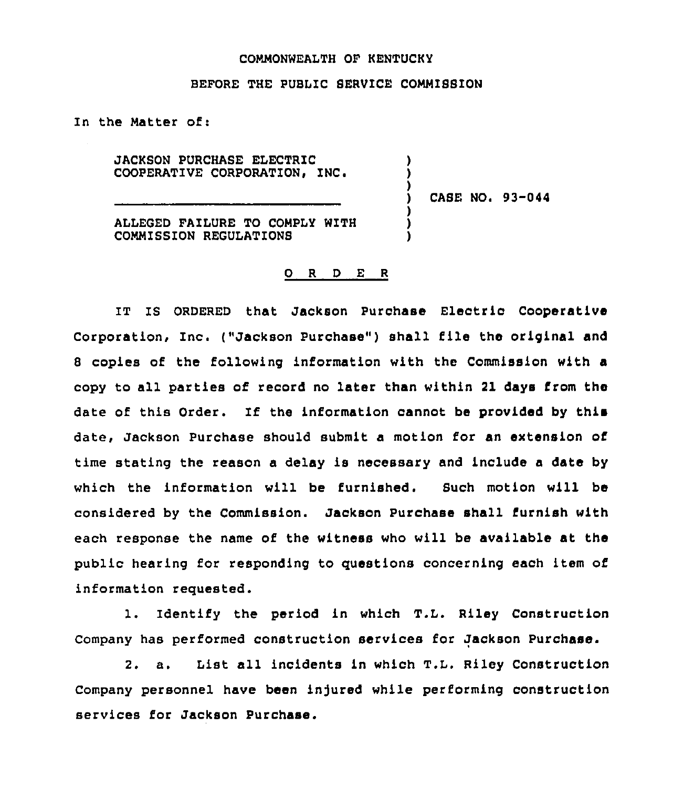## COMMONWEALTH OF KENTUCKY

## BEFORE THE PUBLIC SERVICE COMMISSION

In the Matter of:

JACKSON PURCHASE ELECTRIC COOPERATIVE CORPORATION, INC.

) CASE NO <sup>~</sup> 93-044

) ) )

> ) ) )

ALLEGED FAILURE TO COMPLY WITH COMMISSION REGULATIONS

## 0 <sup>R</sup> <sup>D</sup> E <sup>R</sup>

IT IS ORDERED that Jackson Purchase Electric Cooperative Corporation, Inc. ("Jackson Purchase") shall file the original and 8 copies of the following information with the Commission with a copy to all parties of record no later than within 21 days from the date of this Order. If the information cannot be provided by this date, Jackson Purchase should submit a motion for an extension of time stating the reason a delay is necessary and include a date by which the information will be furnished. Such motion will be considered by the Commission. Jackson Purchase shall furnish with each response the name of the witness who will be available at the public hearing for responding to questions concerning each item of information requested.

l. Identify the period in which T.L. Riley Construction Company has performed construction services for Jackson Purchase.

2. a. List all incidents in which T.L. Riley Construction Company personnel have been injured while performing construction services for Jackson Purchase.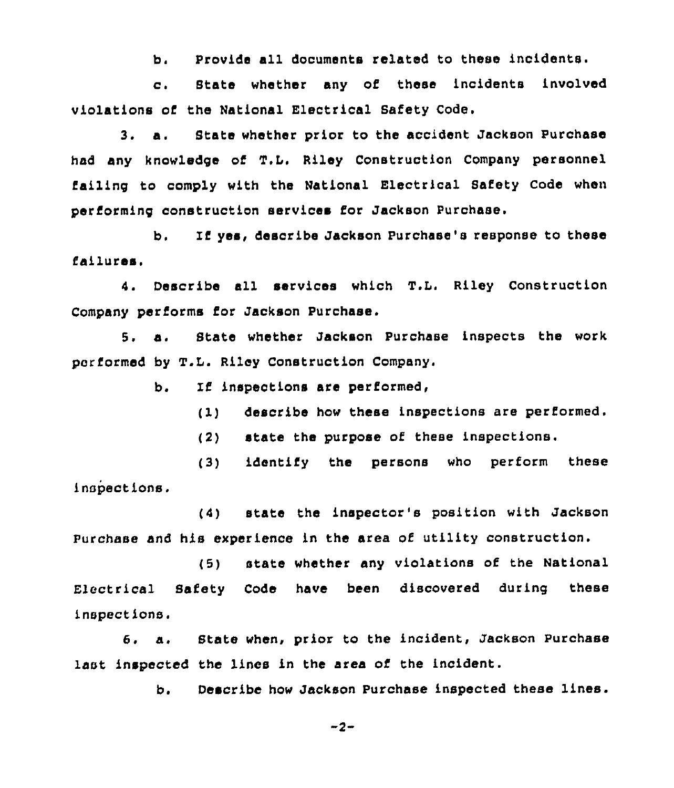b. Provide all documents related to these incidents.

c. State whether any of these incidents involved violations of the National Electrical Safety Code.

3. a. State whether prior to the accident Jackson Purchase had any knowledge of T.L. Riley Construction Company personnel failing to comply with the National Electrical Safety Code when performing construction services for Jackson Purchase.

b. Zf yes, describe Jackson Purchase's response to these failures.

4. Describe all services which T.L. Riley Construction Company performs for Jackson Purchase.

5. a. State whether Jackson Purchase inspects the work performed by T.L. Riley Construction Company.

b. Zf inspections are performed,

( 1) describe how these inspections are performed.

(2) state the purpose of these inspections.

(3) identify the persons who perform these inspections.

(4) state the inspector's position with Jackson Purchase and his experience in the area of utility construction.

(5) state whether any violations of the National Electrical Safety Code have been discovered during these inspections.

6. a. State when, prior to the incident, Jackson Purchase last inspected the lines in the area of the incident.

b. Describe how Jackson Purchase inspected these lines.

 $-2-$